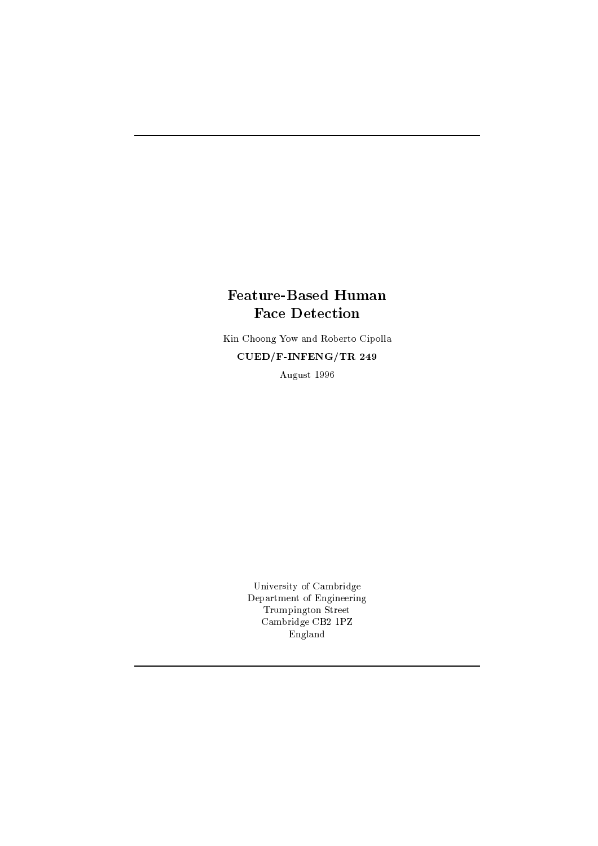# **Feature-Based Human Face Detection**

Kin Choong Yow and Roberto Cipolla  $CUED/F-INFERG/TR 249$ 

August 1996

University of Cambridge Department of Engineering Trumpington Street Cambridge CB2 1PZ England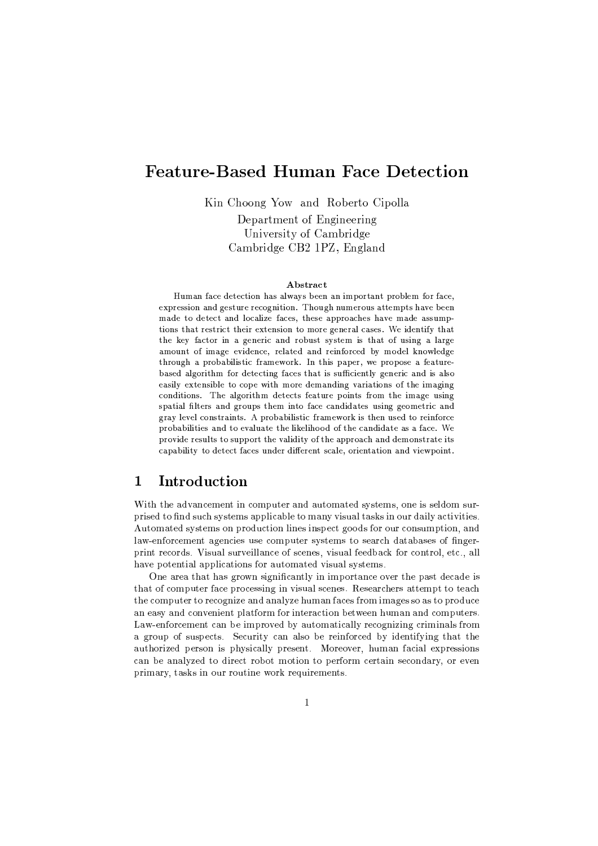# **Feature-Based Human Face Detection**

Kin Choong Yow and Roberto Cipolla

Department of Engineering University of Cambridge Cambridge CB2 1PZ, England

### **A** hetract

Human face detection has always been an important problem for face. expression and gesture recognition. Though numerous attempts have been made to detect and localize faces, these approaches have made assumptions that restrict their extension to more general cases. We identify that the key factor in a generic and robust system is that of using a large amount of image evidence, related and reinforced by model knowledge through a probabilistic framework. In this paper, we propose a featurebased algorithm for detecting faces that is sufficiently generic and is also easily extensible to cope with more demanding variations of the imaging conditions. The algorithm detects feature points from the image using spatial filters and groups them into face candidates using geometric and grav level constraints. A probabilistic framework is then used to reinforce probabilities and to evaluate the likelihood of the candidate as a face. We provide results to support the validity of the approach and demonstrate its capability to detect faces under different scale, orientation and viewpoint.

### Introduction  $\mathbf 1$

With the advancement in computer and automated systems, one is seldom surprised to find such systems applicable to many visual tasks in our daily activities. Automated systems on production lines inspect goods for our consumption, and law-enforcement agencies use computer systems to search databases of fingerprint records. Visual surveillance of scenes, visual feedback for control, etc., all have potential applications for automated visual systems.

One area that has grown significantly in importance over the past decade is that of computer face processing in visual scenes. Researchers attempt to teach the computer to recognize and analyze human faces from images so as to produce an easy and convenient platform for interaction between human and computers. Law-enforcement can be improved by automatically recognizing criminals from a group of suspects. Security can also be reinforced by identifying that the authorized person is physically present. Moreover, human facial expressions can be analyzed to direct robot motion to perform certain secondary, or even primary, tasks in our routine work requirements.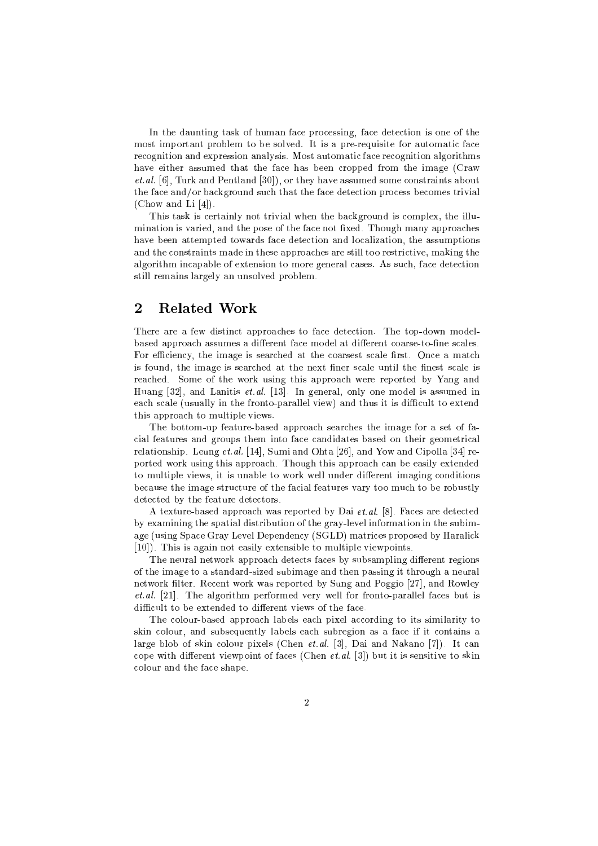In the daunting task of human face processing, face detection is one of the most important problem to be solved. It is a pre-requisite for automatic face recognition and expression analysis. Most automatic face recognition algorithms have either assumed that the face has been cropped from the image (Craw  $et. al.$  [6], Turk and Pentland [30]), or they have assumed some constraints about the face and/or background such that the face detection process becomes trivial (Chow and Li $[4]$ ).

This task is certainly not trivial when the background is complex, the illumination is varied, and the pose of the face not fixed. Though many approaches have been attempted towards face detection and localization, the assumptions and the constraints made in these approaches are still too restrictive, making the algorithm incapable of extension to more general cases. As such, face detection still remains largely an unsolved problem.

### $\overline{2}$ **Related Work**

There are a few distinct approaches to face detection. The top-down modelbased approach assumes a different face model at different coarse-to-fine scales. For efficiency, the image is searched at the coarsest scale first. Once a match is found, the image is searched at the next finer scale until the finest scale is reached. Some of the work using this approach were reported by Yang and Huang [32], and Lanitis  $et$ , al. [13]. In general, only one model is assumed in each scale (usually in the fronto-parallel view) and thus it is difficult to extend this approach to multiple views.

The bottom-up feature-based approach searches the image for a set of facial features and groups them into face candidates based on their geometrical relationship. Leung *et.al.* [14], Sumi and Ohta [26], and Yow and Cipolla [34] reported work using this approach. Though this approach can be easily extended to multiple views, it is unable to work well under different imaging conditions because the image structure of the facial features vary too much to be robustly detected by the feature detectors.

A texture-based approach was reported by Dai  $et. al.$  [8]. Faces are detected by examining the spatial distribution of the gray-level information in the subimage (using Space Gray Level Dependency (SGLD) matrices proposed by Haralick [10]). This is again not easily extensible to multiple viewpoints.

The neural network approach detects faces by subsampling different regions of the image to a standard-sized subimage and then passing it through a neural network filter. Recent work was reported by Sung and Poggio [27], and Rowley et.al. [21]. The algorithm performed very well for fronto-parallel faces but is difficult to be extended to different views of the face.

The colour-based approach labels each pixel according to its similarity to skin colour, and subsequently labels each subregion as a face if it contains a large blob of skin colour pixels (Chen et.al. [3], Dai and Nakano [7]). It can cope with different viewpoint of faces (Chen *et.al.* [3]) but it is sensitive to skin colour and the face shape.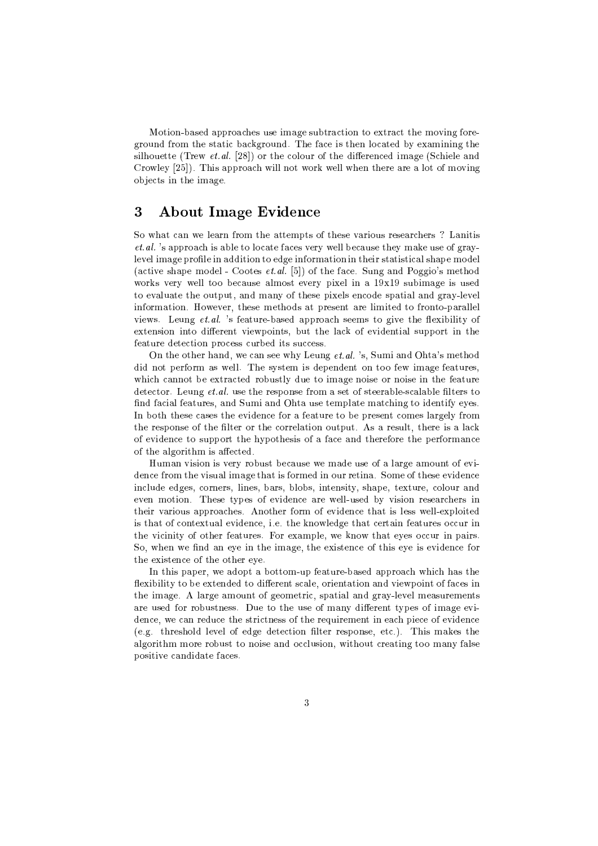Motion-based approaches use image subtraction to extract the moving foreground from the static background. The face is then located by examining the silhouette (Trew *et.al.* [28]) or the colour of the differenced image (Schiele and Crowley [25]). This approach will not work well when there are a lot of moving objects in the image.

### **About Image Evidence**  $\boldsymbol{3}$

So what can we learn from the attempts of these various researchers? Lanitis et.al. 's approach is able to locate faces very well because they make use of graylevel image profile in addition to edge information in their statistical shape model (active shape model - Cootes  $et. al.$  [5]) of the face. Sung and Poggio's method works very well too because almost every pixel in a 19x19 subimage is used to evaluate the output, and many of these pixels encode spatial and gray-level information. However, these methods at present are limited to fronto-parallel views. Leung et al. 's feature-based approach seems to give the flexibility of extension into different viewpoints, but the lack of evidential support in the feature detection process curbed its success.

On the other hand, we can see why Leung *et.al.* 's, Sumi and Ohta's method did not perform as well. The system is dependent on too few image features, which cannot be extracted robustly due to image noise or noise in the feature detector. Leung *et al.* use the response from a set of steerable-scalable filters to find facial features, and Sumi and Ohta use template matching to identify eyes. In both these cases the evidence for a feature to be present comes largely from the response of the filter or the correlation output. As a result, there is a lack of evidence to support the hypothesis of a face and therefore the performance of the algorithm is affected.

Human vision is very robust because we made use of a large amount of evidence from the visual image that is formed in our retina. Some of these evidence include edges, corners, lines, bars, blobs, intensity, shape, texture, colour and even motion. These types of evidence are well-used by vision researchers in their various approaches. Another form of evidence that is less well-exploited is that of contextual evidence, i.e. the knowledge that certain features occur in the vicinity of other features. For example, we know that eves occur in pairs. So, when we find an eye in the image, the existence of this eye is evidence for the existence of the other eye.

In this paper, we adopt a bottom-up feature-based approach which has the flexibility to be extended to different scale, orientation and viewpoint of faces in the image. A large amount of geometric, spatial and gray-level measurements are used for robustness. Due to the use of many different types of image evidence, we can reduce the strictness of the requirement in each piece of evidence (e.g. threshold level of edge detection filter response, etc.). This makes the algorithm more robust to noise and occlusion, without creating too many false positive candidate faces.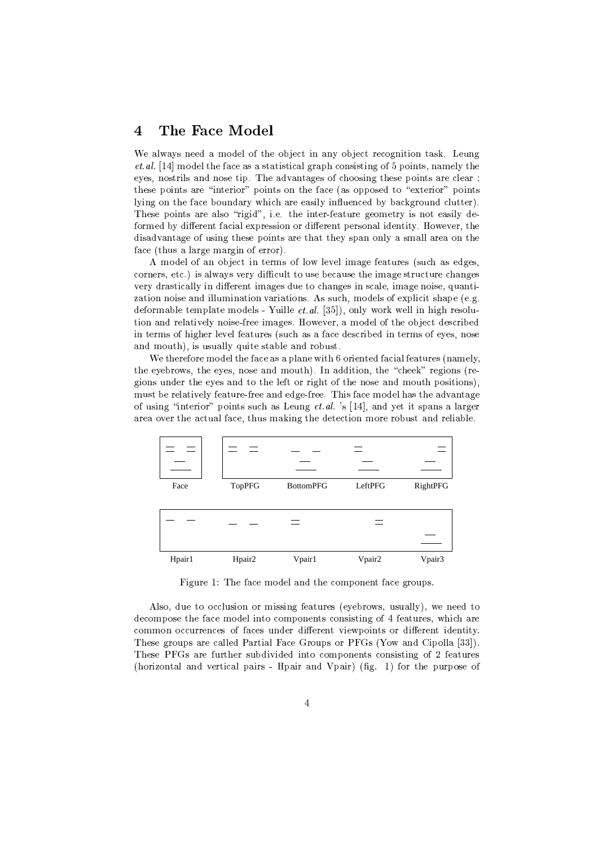### The Face Model  $\overline{4}$

We always need a model of the object in any object recognition task. Leung *et.al.* [14] model the face as a statistical graph consisting of 5 points, namely the eyes, nostrils and nose tip. The advantages of choosing these points are clear: these points are "interior" points on the face (as opposed to "exterior" points lying on the face boundary which are easily influenced by background clutter). These points are also "rigid", i.e. the inter-feature geometry is not easily deformed by different facial expression or different personal identity. However, the disadvantage of using these points are that they span only a small area on the face (thus a large margin of error).

A model of an object in terms of low level image features (such as edges. corners, etc.) is always very difficult to use because the image structure changes very drastically in different images due to changes in scale, image noise, quantization noise and illumination variations. As such, models of explicit shape (e.g. deformable template models - Yuille  $et.al.$  [35]), only work well in high resolution and relatively noise-free images. However, a model of the object described in terms of higher level features (such as a face described in terms of eyes, nose and mouth), is usually quite stable and robust.

We therefore model the face as a plane with 6 oriented facial features (namely, the eyebrows, the eyes, nose and mouth). In addition, the "cheek" regions (regions under the eyes and to the left or right of the nose and mouth positions), must be relatively feature-free and edge-free. This face model has the advantage of using "interior" points such as Leung *et.al.* 's [14], and yet it spans a larger area over the actual face, thus making the detection more robust and reliable.



Figure 1: The face model and the component face groups.

Also, due to occlusion or missing features (eyebrows, usually), we need to decompose the face model into components consisting of 4 features, which are common occurrences of faces under different viewpoints or different identity. These groups are called Partial Face Groups or PFGs (Yow and Cipolla [33]). These PFGs are further subdivided into components consisting of 2 features (horizontal and vertical pairs - Hpair and Vpair) (fig. 1) for the purpose of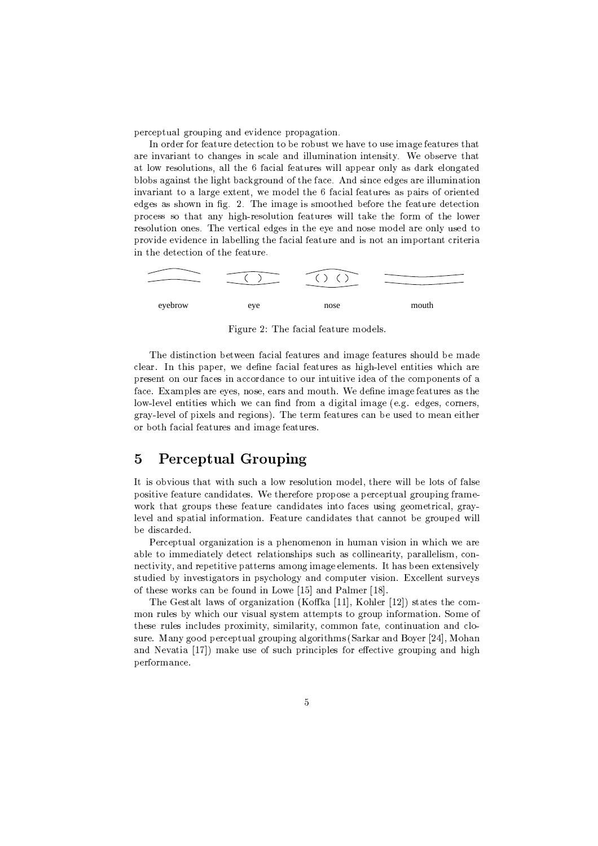perceptual grouping and evidence propagation.

In order for feature detection to be robust we have to use image features that are invariant to changes in scale and illumination intensity. We observe that at low resolutions, all the 6 facial features will appear only as dark elongated blobs against the light background of the face. And since edges are illumination invariant to a large extent, we model the 6 facial features as pairs of oriented edges as shown in fig. 2. The image is smoothed before the feature detection process so that any high-resolution features will take the form of the lower resolution ones. The vertical edges in the eve and nose model are only used to provide evidence in labelling the facial feature and is not an important criteria in the detection of the feature.



Figure 2: The facial feature models.

The distinction between facial features and image features should be made clear. In this paper, we define facial features as high-level entities which are present on our faces in accordance to our intuitive idea of the components of a face. Examples are eyes, nose, ears and mouth. We define image features as the low-level entities which we can find from a digital image (e.g. edges, corners, grav-level of pixels and regions). The term features can be used to mean either or both facial features and image features.

### $\mathbf 5$ **Perceptual Grouping**

It is obvious that with such a low resolution model, there will be lots of false positive feature candidates. We therefore propose a perceptual grouping framework that groups these feature candidates into faces using geometrical, graylevel and spatial information. Feature candidates that cannot be grouped will be discarded.

Perceptual organization is a phenomenon in human vision in which we are able to immediately detect relationships such as collinearity, parallelism, connectivity, and repetitive patterns among image elements. It has been extensively studied by investigators in psychology and computer vision. Excellent surveys of these works can be found in Lowe [15] and Palmer [18].

The Gestalt laws of organization (Koffka [11], Kohler [12]) states the common rules by which our visual system attempts to group information. Some of these rules includes proximity, similarity, common fate, continuation and closure. Many good perceptual grouping algorithms (Sarkar and Boyer [24], Mohan and Nevatia [17]) make use of such principles for effective grouping and high performance.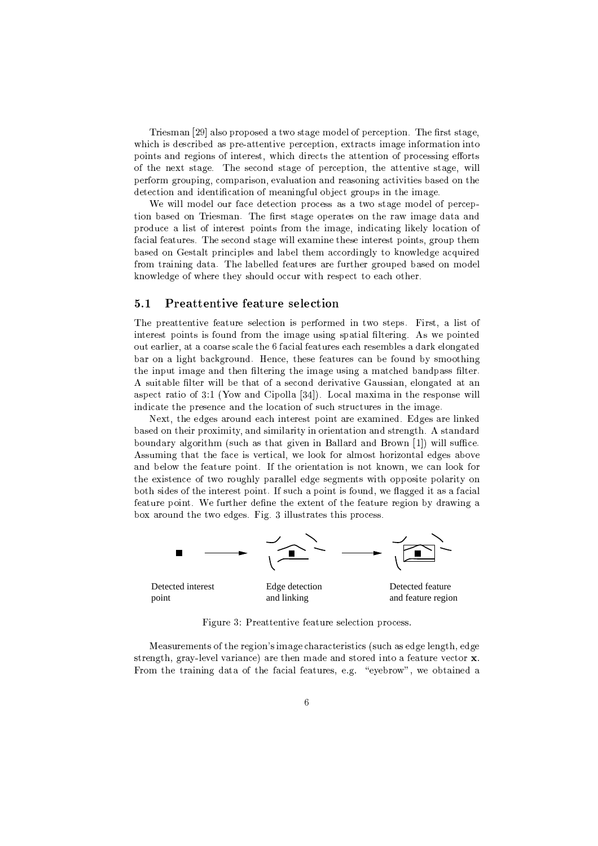Triesman [29] also proposed a two stage model of perception. The first stage, which is described as pre-attentive perception, extracts image information into points and regions of interest, which directs the attention of processing efforts of the next stage. The second stage of perception, the attentive stage, will perform grouping, comparison, evaluation and reasoning activities based on the detection and identification of meaningful object groups in the image.

We will model our face detection process as a two stage model of perception based on Triesman. The first stage operates on the raw image data and produce a list of interest points from the image, indicating likely location of facial features. The second stage will examine these interest points, group them based on Gestalt principles and label them accordingly to knowledge acquired from training data. The labelled features are further grouped based on model knowledge of where they should occur with respect to each other.

#### Preattentive feature selection  $5.1$

The preattentive feature selection is performed in two steps. First, a list of interest points is found from the image using spatial filtering. As we pointed out earlier, at a coarse scale the 6 facial features each resembles a dark elongated bar on a light background. Hence, these features can be found by smoothing the input image and then filtering the image using a matched bandpass filter. A suitable filter will be that of a second derivative Gaussian, elongated at an aspect ratio of 3:1 (Yow and Cipolla [34]). Local maxima in the response will indicate the presence and the location of such structures in the image.

Next, the edges around each interest point are examined. Edges are linked based on their proximity, and similarity in orientation and strength. A standard boundary algorithm (such as that given in Ballard and Brown [1]) will suffice. Assuming that the face is vertical, we look for almost horizontal edges above and below the feature point. If the orientation is not known, we can look for the existence of two roughly parallel edge segments with opposite polarity on both sides of the interest point. If such a point is found, we flagged it as a facial feature point. We further define the extent of the feature region by drawing a box around the two edges. Fig. 3 illustrates this process.



Figure 3: Preattentive feature selection process.

Measurements of the region's image characteristics (such as edge length, edge strength, gray-level variance) are then made and stored into a feature vector  $\mathbf{x}$ . From the training data of the facial features, e.g. "eyebrow", we obtained a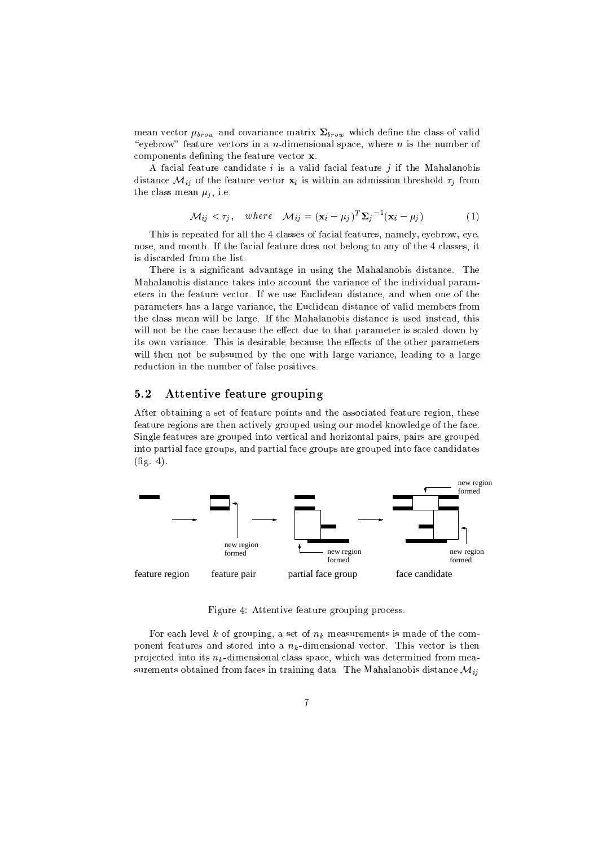mean vector  $\mu_{brow}$  and covariance matrix  $\Sigma_{brow}$  which define the class of valid "eyebrow" feature vectors in a *n*-dimensional space, where  $n$  is the number of components defining the feature vector  $\mathbf x$ .

A facial feature candidate  $i$  is a valid facial feature  $j$  if the Mahalanobis distance  $\mathcal{M}_{ij}$  of the feature vector  $\mathbf{x}_i$  is within an admission threshold  $\tau_j$  from the class mean  $\mu_j$ , i.e.

$$
\mathcal{M}_{ij} < \tau_j, \quad where \quad \mathcal{M}_{ij} = (\mathbf{x}_i - \mu_j)^T \mathbf{\Sigma}_j^{-1} (\mathbf{x}_i - \mu_j) \tag{1}
$$

This is repeated for all the 4 classes of facial features, namely, eyebrow, eye, nose, and mouth. If the facial feature does not belong to any of the 4 classes, it is discarded from the list.

There is a significant advantage in using the Mahalanobis distance. The Mahalanobis distance takes into account the variance of the individual parameters in the feature vector. If we use Euclidean distance, and when one of the parameters has a large variance, the Euclidean distance of valid members from the class mean will be large. If the Mahalanobis distance is used instead, this will not be the case because the effect due to that parameter is scaled down by its own variance. This is desirable because the effects of the other parameters will then not be subsumed by the one with large variance, leading to a large reduction in the number of false positives.

#### $5.2$ Attentive feature grouping

After obtaining a set of feature points and the associated feature region, these feature regions are then actively grouped using our model knowledge of the face. Single features are grouped into vertical and horizontal pairs, pairs are grouped into partial face groups, and partial face groups are grouped into face candidates  $(fig. 4)$ .



Figure 4: Attentive feature grouping process.

For each level k of grouping, a set of  $n_k$  measurements is made of the component features and stored into a  $n_k$ -dimensional vector. This vector is then projected into its  $n_k$ -dimensional class space, which was determined from measurements obtained from faces in training data. The Mahalanobis distance  $\mathcal{M}_{ij}$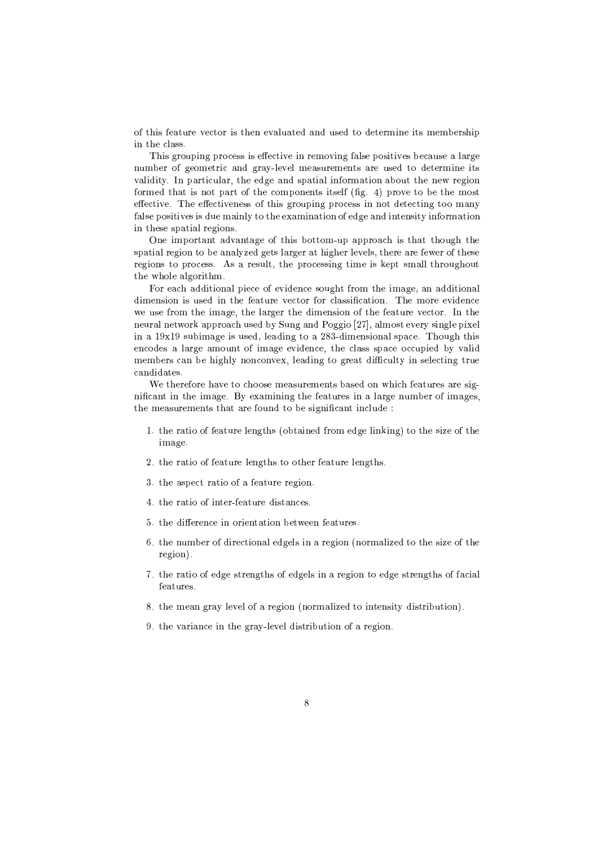of this feature vector is then evaluated and used to determine its membership in the class.

This grouping process is effective in removing false positives because a large number of geometric and gray-level measurements are used to determine its validity. In particular, the edge and spatial information about the new region formed that is not part of the components itself (fig. 4) prove to be the most effective. The effectiveness of this grouping process in not detecting too many false positives is due mainly to the examination of edge and intensity information in these spatial regions.

One important advantage of this bottom-up approach is that though the spatial region to be analyzed gets larger at higher levels, there are fewer of these regions to process. As a result, the processing time is kept small throughout the whole algorithm.

For each additional piece of evidence sought from the image, an additional dimension is used in the feature vector for classification. The more evidence we use from the image, the larger the dimension of the feature vector. In the neural network approach used by Sung and Poggio [27], almost every single pixel in a 19x19 subimage is used, leading to a 283-dimensional space. Though this encodes a large amount of image evidence, the class space occupied by valid members can be highly nonconvex, leading to great difficulty in selecting true candidates.

We therefore have to choose measurements based on which features are significant in the image. By examining the features in a large number of images, the measurements that are found to be significant include:

- 1. the ratio of feature lengths (obtained from edge linking) to the size of the image.
- 2. the ratio of feature lengths to other feature lengths.
- 3. the aspect ratio of a feature region.
- 4. the ratio of inter-feature distances.
- 5. the difference in orientation between features.
- 6. the number of directional edgels in a region (normalized to the size of the region).
- 7. the ratio of edge strengths of edgels in a region to edge strengths of facial features.
- 8. the mean gray level of a region (normalized to intensity distribution).
- 9. the variance in the gray-level distribution of a region.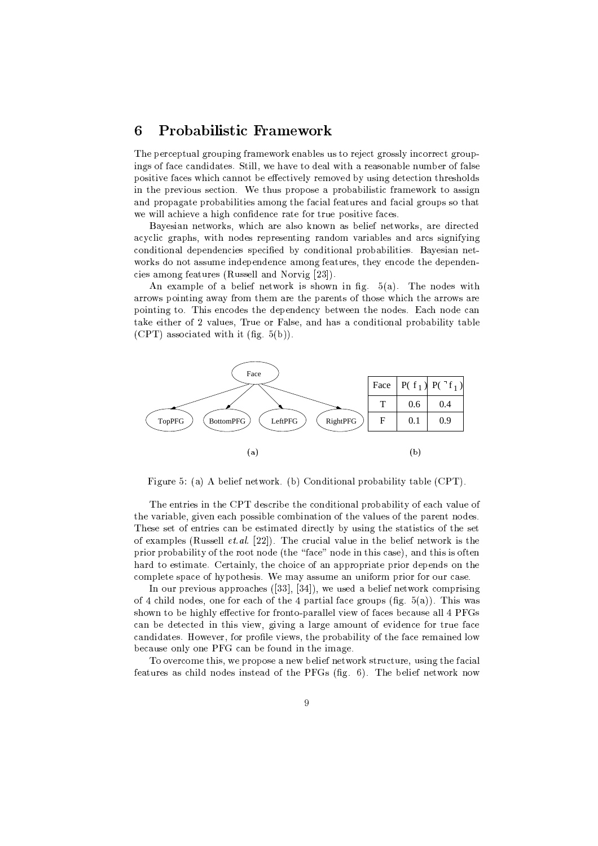### **Probabilistic Framework** 6

The perceptual grouping framework enables us to reject grossly incorrect groupings of face candidates. Still, we have to deal with a reasonable number of false positive faces which cannot be effectively removed by using detection thresholds in the previous section. We thus propose a probabilistic framework to assign and propagate probabilities among the facial features and facial groups so that we will achieve a high confidence rate for true positive faces.

Bayesian networks, which are also known as belief networks, are directed acyclic graphs, with nodes representing random variables and arcs signifying conditional dependencies specified by conditional probabilities. Bayesian networks do not assume independence among features, they encode the dependencies among features (Russell and Norvig [23]).

An example of a belief network is shown in fig.  $5(a)$ . The nodes with arrows pointing away from them are the parents of those which the arrows are pointing to. This encodes the dependency between the nodes. Each node can take either of 2 values, True or False, and has a conditional probability table  $(CPT)$  associated with it (fig. 5(b)).



Figure 5: (a) A belief network. (b) Conditional probability table (CPT).

The entries in the CPT describe the conditional probability of each value of the variable, given each possible combination of the values of the parent nodes. These set of entries can be estimated directly by using the statistics of the set of examples (Russell *et.al.* [22]). The crucial value in the belief network is the prior probability of the root node (the "face" node in this case), and this is often hard to estimate. Certainly, the choice of an appropriate prior depends on the complete space of hypothesis. We may assume an uniform prior for our case.

In our previous approaches  $(33]$ ,  $(34)$ , we used a belief network comprising of 4 child nodes, one for each of the 4 partial face groups (fig.  $5(a)$ ). This was shown to be highly effective for fronto-parallel view of faces because all 4 PFGs can be detected in this view, giving a large amount of evidence for true face candidates. However, for profile views, the probability of the face remained low because only one PFG can be found in the image.

To overcome this, we propose a new belief network structure, using the facial features as child nodes instead of the PFGs (fig. 6). The belief network now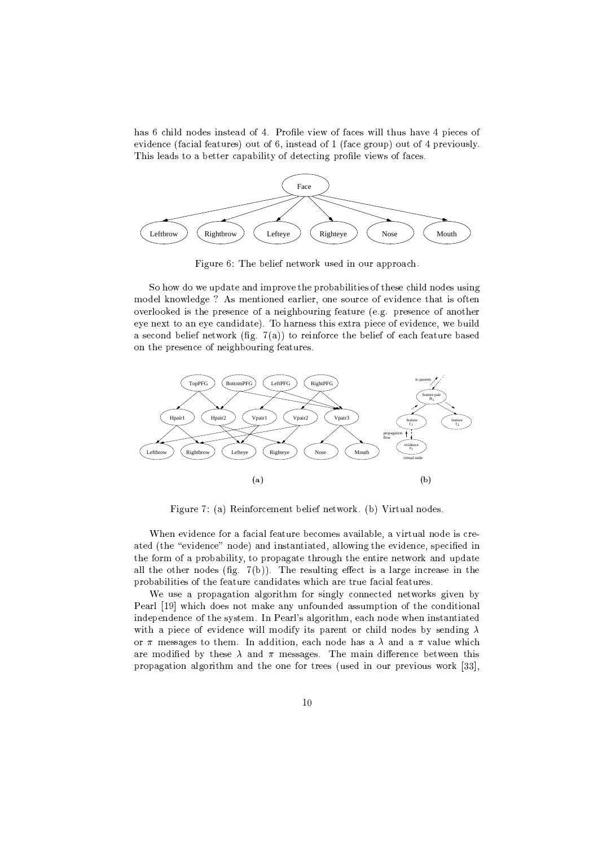has 6 child nodes instead of 4. Profile view of faces will thus have 4 pieces of evidence (facial features) out of 6, instead of 1 (face group) out of 4 previously. This leads to a better capability of detecting profile views of faces.



Figure 6: The belief network used in our approach.

So how do we update and improve the probabilities of these child nodes using model knowledge ? As mentioned earlier, one source of evidence that is often overlooked is the presence of a neighbouring feature (e.g. presence of another eye next to an eye candidate). To harness this extra piece of evidence, we build a second belief network (fig.  $7(a)$ ) to reinforce the belief of each feature based on the presence of neighbouring features.



Figure 7: (a) Reinforcement belief network. (b) Virtual nodes.

When evidence for a facial feature becomes available, a virtual node is created (the "evidence" node) and instantiated, allowing the evidence, specified in the form of a probability, to propagate through the entire network and update all the other nodes (fig.  $7(b)$ ). The resulting effect is a large increase in the probabilities of the feature candidates which are true facial features.

We use a propagation algorithm for singly connected networks given by Pearl [19] which does not make any unfounded assumption of the conditional independence of the system. In Pearl's algorithm, each node when instantiated with a piece of evidence will modify its parent or child nodes by sending  $\lambda$ or  $\pi$  messages to them. In addition, each node has a  $\lambda$  and a  $\pi$  value which are modified by these  $\lambda$  and  $\pi$  messages. The main difference between this propagation algorithm and the one for trees (used in our previous work [33],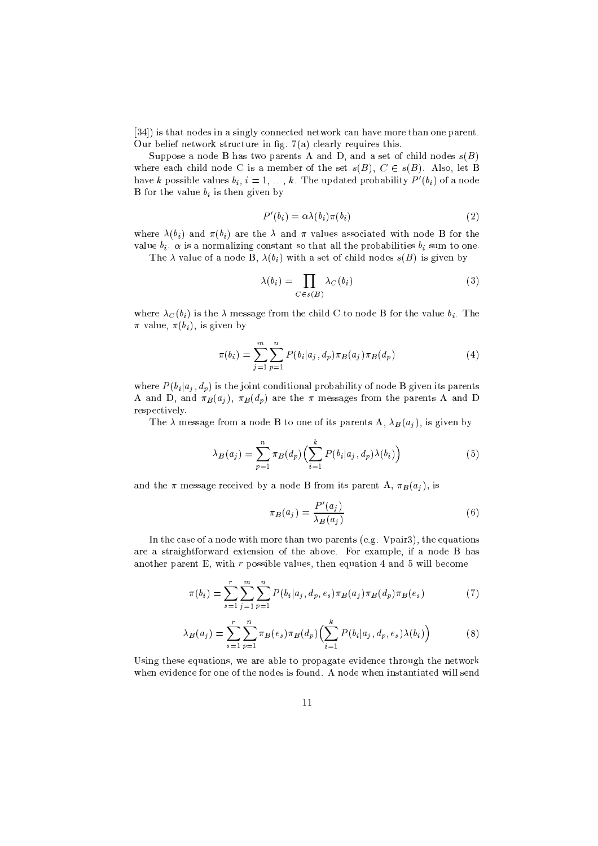[34]) is that nodes in a singly connected network can have more than one parent. Our belief network structure in fig.  $7(a)$  clearly requires this.

Suppose a node B has two parents A and D, and a set of child nodes  $s(B)$ where each child node C is a member of the set  $s(B)$ ,  $C \in s(B)$ . Also, let B have k possible values  $b_i$ ,  $i = 1, \ldots, k$ . The updated probability  $P'(b_i)$  of a node B for the value  $b_i$  is then given by

$$
P'(b_i) = \alpha \lambda(b_i) \pi(b_i) \tag{2}
$$

where  $\lambda(b_i)$  and  $\pi(b_i)$  are the  $\lambda$  and  $\pi$  values associated with node B for the value  $b_i$ .  $\alpha$  is a normalizing constant so that all the probabilities  $b_i$  sum to one.

The  $\lambda$  value of a node B,  $\lambda(b_i)$  with a set of child nodes  $s(B)$  is given by

$$
\lambda(b_i) = \prod_{C \in s(B)} \lambda_C(b_i) \tag{3}
$$

where  $\lambda_C(b_i)$  is the  $\lambda$  message from the child C to node B for the value  $b_i$ . The  $\pi$  value,  $\pi(b_i)$ , is given by

$$
\pi(b_i) = \sum_{j=1}^{m} \sum_{p=1}^{n} P(b_i | a_j, d_p) \pi_B(a_j) \pi_B(d_p)
$$
\n(4)

where  $P(b_i|a_j, d_p)$  is the joint conditional probability of node B given its parents A and D, and  $\pi_B(a_j)$ ,  $\pi_B(d_p)$  are the  $\pi$  messages from the parents A and D respectively.

The  $\lambda$  message from a node B to one of its parents A,  $\lambda_B(a_j)$ , is given by

$$
\lambda_B(a_j) = \sum_{p=1}^n \pi_B(d_p) \Bigl(\sum_{i=1}^k P(b_i | a_j, d_p) \lambda(b_i)\Bigr) \tag{5}
$$

and the  $\pi$  message received by a node B from its parent A,  $\pi_B(a_j)$ , is

$$
\pi_B(a_j) = \frac{P'(a_j)}{\lambda_B(a_j)}\tag{6}
$$

In the case of a node with more than two parents (e.g. Vpair3), the equations are a straightforward extension of the above. For example, if a node B has another parent E, with  $r$  possible values, then equation 4 and 5 will become

$$
\pi(b_i) = \sum_{s=1}^{r} \sum_{j=1}^{m} \sum_{p=1}^{n} P(b_i | a_j, d_p, e_s) \pi_B(a_j) \pi_B(d_p) \pi_B(e_s)
$$
\n(7)

$$
\lambda_B(a_j) = \sum_{s=1}^r \sum_{p=1}^n \pi_B(e_s) \pi_B(d_p) \Big( \sum_{i=1}^k P(b_i | a_j, d_p, e_s) \lambda(b_i) \Big) \tag{8}
$$

Using these equations, we are able to propagate evidence through the network when evidence for one of the nodes is found. A node when instantiated will send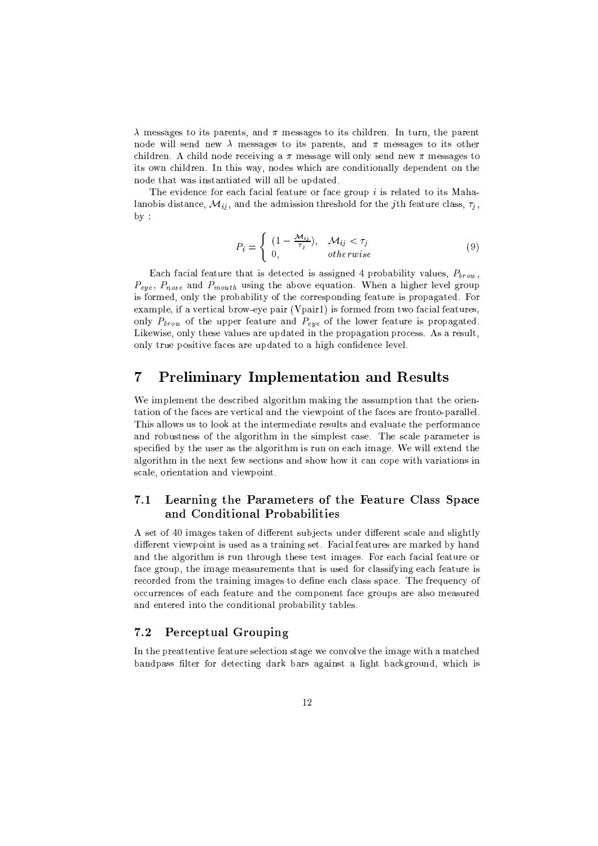$\lambda$  messages to its parents, and  $\pi$  messages to its children. In turn, the parent node will send new  $\lambda$  messages to its parents, and  $\pi$  messages to its other children. A child node receiving a  $\pi$  message will only send new  $\pi$  messages to its own children. In this way, nodes which are conditionally dependent on the node that was instantiated will all be updated.

The evidence for each facial feature or face group  $i$  is related to its Maha–  $\hphantom{i}$ lanobis distance.  $\mathcal{M}_{ii}$ , and the admission threshold for the *i*th feature class,  $\tau_i$ .  $bv$ :

$$
P_i = \begin{cases} (1 - \frac{\mathcal{M}_{ij}}{\tau_j}), & \mathcal{M}_{ij} < \tau_j \\ 0, & otherwise \end{cases}
$$
 (9)

Each facial feature that is detected is assigned 4 probability values.  $P_{hrow}$ ,  $P_{\text{core}}$  and  $P_{\text{meath}}$  using the above equation. When a higher level group is formed, only the probability of the corresponding feature is propagated. For =e¹C65knB1D(= ® &h6e/=#>@?A&#65D];1>A,54¯ =sf<=MB65&(>(³BC65&(> <sup>a</sup> & ` h,<>Ak-=U8h>A,<k ?g4 ,h6j &t6iD1h=U65? \_>@=`@® only  $P_{k_{new}}$  of the upper feature and  $P_{euc}$  of the lower feature is propagated. Likewise, only these values are updated in the propagation process. As a result, only true positive faces are updated to a high confidence level.

# j#!!-  «# Ip!#" - M

We implement the described algorithm making the assumption that the orientation of the faces are vertical and the viewpoint of the faces are fronto-parallel.  $\qquad \qquad$ This allows us to look at the intermediate results and evaluate the performance and robustness of the algorithm in the simplest case. The scale parameter is specified by the user as the algorithm is run on each image. We will extend the  $\,$ algorithm in the next few sections and show how it can cope with variations in scale, orientation and viewpoint.  $\hspace{0.1em}$ 

### 6   ! \$  #" %\$ <sup>8</sup> . The state of the state of the state of the state of the state of the state of the state of the state of the state of the state of the state of the state of the state of the state of the state of the state of the state o

A set of 40 images taken of different subjects under different scale and slightly different viewpoint is used as a training set. Facial features are marked by hand and the algorithm is run through these test images. For each facial feature or face group, the image measurements that is used for classifying each feature is recorded from the training images to define each class space. The frequency of occurrences of each feature and the component face groups are also measured and entered into the conditional probability tables.

### 4 8 -, 8 6

In the preattentive feature selection stage we convolve the image with a matched bandpass filter for detecting dark bars against a light background, which is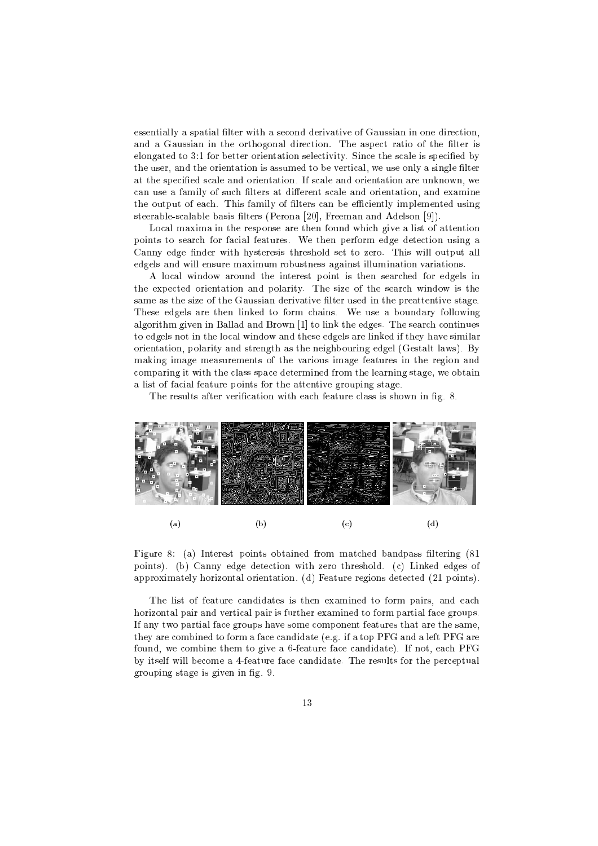essentially a spatial filter with a second derivative of Gaussian in one direction. and a Gaussian in the orthogonal direction. The aspect ratio of the filter is elongated to 3:1 for better orientation selectivity. Since the scale is specified by the user, and the orientation is assumed to be vertical, we use only a single filter at the specified scale and orientation. If scale and orientation are unknown, we can use a family of such filters at different scale and orientation, and examine the output of each. This family of filters can be efficiently implemented using steerable-scalable basis filters (Perona [20], Freeman and Adelson [9]).

Local maxima in the response are then found which give a list of attention points to search for facial features. We then perform edge detection using a Canny edge finder with hysteresis threshold set to zero. This will output all edgels and will ensure maximum robustness against illumination variations.

A local window around the interest point is then searched for edgels in the expected orientation and polarity. The size of the search window is the same as the size of the Gaussian derivative filter used in the preattentive stage. These edgels are then linked to form chains. We use a boundary following algorithm given in Ballad and Brown [1] to link the edges. The search continues to edgels not in the local window and these edgels are linked if they have similar orientation, polarity and strength as the neighbouring edgel (Gestalt laws). By making image measurements of the various image features in the region and comparing it with the class space determined from the learning stage, we obtain a list of facial feature points for the attentive grouping stage.

The results after verification with each feature class is shown in fig. 8.



Figure 8: (a) Interest points obtained from matched bandpass filtering (81 points). (b) Canny edge detection with zero threshold. (c) Linked edges of approximately horizontal orientation. (d) Feature regions detected (21 points).

The list of feature candidates is then examined to form pairs, and each horizontal pair and vertical pair is further examined to form partial face groups. If any two partial face groups have some component features that are the same, they are combined to form a face candidate (e.g. if a top PFG and a left PFG are found, we combine them to give a 6-feature face candidate). If not, each PFG by itself will become a 4-feature face candidate. The results for the perceptual grouping stage is given in fig. 9.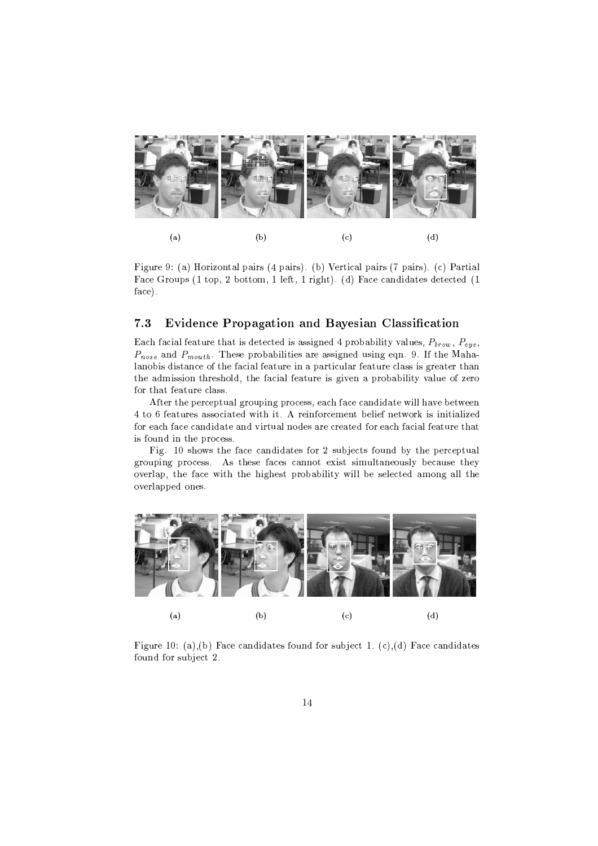

Figure 9: (a) Horizontal pairs (4 pairs). (b) Vertical pairs (7 pairs). (c) Partial Face Groups (1 top, 2 bottom, 1 left, 1 right). (d) Face candidates detected (1 face).

#### 7.3 Evidence Propagation and Bayesian Classification

Each facial feature that is detected is assigned 4 probability values,  $P_{brow}$ ,  $P_{eye}$ ,  $P_{nose}$  and  $P_{mouth}$ . These probabilities are assigned using eqn. 9. If the Mahalanobis distance of the facial feature in a particular feature class is greater than the admission threshold, the facial feature is given a probability value of zero for that feature class.

After the perceptual grouping process, each face candidate will have between 4 to 6 features associated with it. A reinforcement belief network is initialized for each face candidate and virtual nodes are created for each facial feature that is found in the process.

Fig. 10 shows the face candidates for 2 subjects found by the perceptual grouping process. As these faces cannot exist simultaneously because they overlap, the face with the highest probability will be selected among all the overlapped ones.



Figure 10: (a),(b) Face candidates found for subject 1. (c),(d) Face candidates found for subject 2.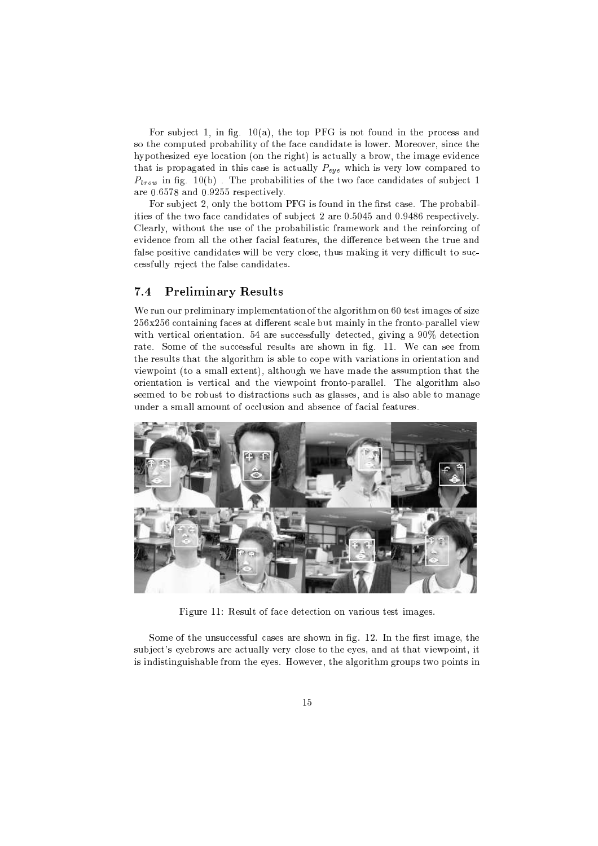For subject 1, in fig.  $10(a)$ , the top PFG is not found in the process and so the computed probability of the face candidate is lower. Moreover, since the hypothesized eye location (on the right) is actually a brow, the image evidence that is propagated in this case is actually  $P_{eye}$  which is very low compared to  $P_{brow}$  in fig. 10(b). The probabilities of the two face candidates of subject 1 are 0.6578 and 0.9255 respectively.

For subject 2, only the bottom PFG is found in the first case. The probabilities of the two face candidates of subject 2 are 0.5045 and 0.9486 respectively. Clearly, without the use of the probabilistic framework and the reinforcing of evidence from all the other facial features, the difference between the true and false positive candidates will be very close, thus making it very difficult to successfully reject the false candidates.

#### **Preliminary Results**  $7.4$

We run our preliminary implementation of the algorithm on 60 test images of size 256x256 containing faces at different scale but mainly in the fronto-parallel view with vertical orientation. 54 are successfully detected, giving a 90% detection rate. Some of the successful results are shown in fig. 11. We can see from the results that the algorithm is able to cope with variations in orientation and viewpoint (to a small extent), although we have made the assumption that the orientation is vertical and the viewpoint fronto-parallel. The algorithm also seemed to be robust to distractions such as glasses, and is also able to manage under a small amount of occlusion and absence of facial features.



Figure 11: Result of face detection on various test images.

Some of the unsuccessful cases are shown in fig. 12. In the first image, the subject's eyebrows are actually very close to the eyes, and at that viewpoint, it is indistinguishable from the eyes. However, the algorithm groups two points in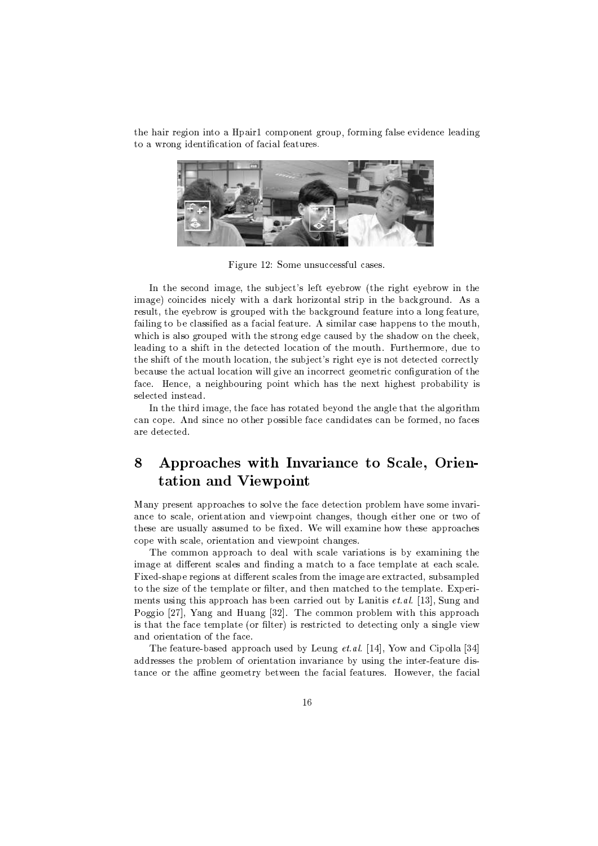the hair region into a Hpair1 component group, forming false evidence leading to a wrong identification of facial features.



Figure 12: Some unsuccessful cases.

In the second image, the subject's left eyebrow (the right eyebrow in the image) coincides nicely with a dark horizontal strip in the background. As a result, the eyebrow is grouped with the background feature into a long feature, failing to be classified as a facial feature. A similar case happens to the mouth, which is also grouped with the strong edge caused by the shadow on the cheek, leading to a shift in the detected location of the mouth. Furthermore, due to the shift of the mouth location, the subject's right eve is not detected correctly because the actual location will give an incorrect geometric configuration of the face. Hence, a neighbouring point which has the next highest probability is selected instead.

In the third image, the face has rotated beyond the angle that the algorithm can cope. And since no other possible face candidates can be formed, no faces are detected.

### 8 Approaches with Invariance to Scale, Orientation and Viewpoint

Many present approaches to solve the face detection problem have some invariance to scale, orientation and viewpoint changes, though either one or two of these are usually assumed to be fixed. We will examine how these approaches cope with scale, orientation and viewpoint changes.

The common approach to deal with scale variations is by examining the image at different scales and finding a match to a face template at each scale. Fixed-shape regions at different scales from the image are extracted, subsampled to the size of the template or filter, and then matched to the template. Experiments using this approach has been carried out by Lanitis  $et. al.$  [13], Sung and Poggio [27], Yang and Huang [32]. The common problem with this approach is that the face template (or filter) is restricted to detecting only a single view and orientation of the face.

The feature-based approach used by Leung et.al. [14], Yow and Cipolla [34] addresses the problem of orientation invariance by using the inter-feature distance or the affine geometry between the facial features. However, the facial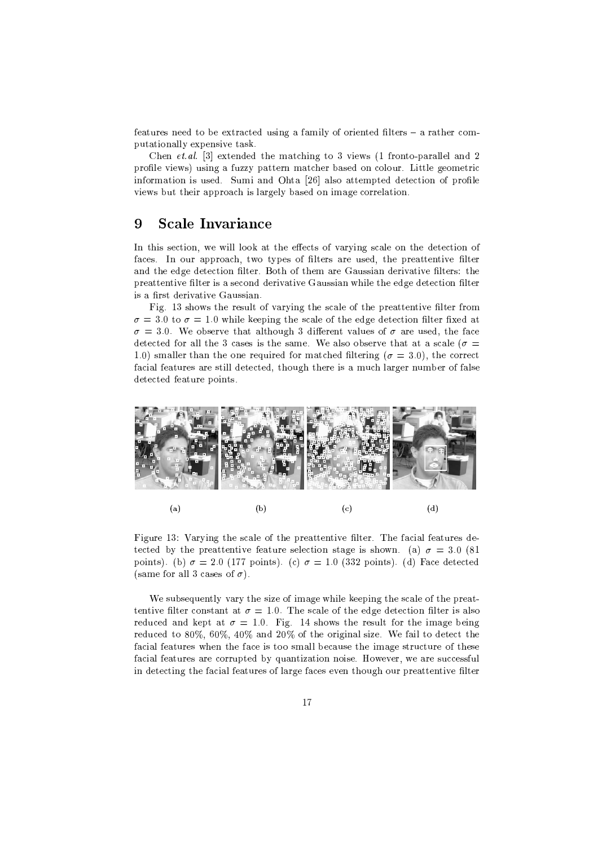features need to be extracted using a family of oriented filters – a rather computationally expensive task.

Chen et.al. [3] extended the matching to 3 views (1 fronto-parallel and 2 profile views) using a fuzzy pattern matcher based on colour. Little geometric information is used. Sumi and Ohta [26] also attempted detection of profile views but their approach is largely based on image correlation.

### 9 **Scale Invariance**

In this section, we will look at the effects of varying scale on the detection of faces. In our approach, two types of filters are used, the preattentive filter and the edge detection filter. Both of them are Gaussian derivative filters: the preattentive filter is a second derivative Gaussian while the edge detection filter is a first derivative Gaussian.

Fig. 13 shows the result of varying the scale of the preattentive filter from  $\sigma = 3.0$  to  $\sigma = 1.0$  while keeping the scale of the edge detection filter fixed at  $\sigma = 3.0$ . We observe that although 3 different values of  $\sigma$  are used, the face detected for all the 3 cases is the same. We also observe that at a scale ( $\sigma$  = 1.0) smaller than the one required for matched filtering ( $\sigma = 3.0$ ), the correct facial features are still detected, though there is a much larger number of false detected feature points.



Figure 13: Varying the scale of the preattentive filter. The facial features detected by the preattentive feature selection stage is shown. (a)  $\sigma = 3.0$  (81) points). (b)  $\sigma = 2.0$  (177 points). (c)  $\sigma = 1.0$  (332 points). (d) Face detected (same for all 3 cases of  $\sigma$ ).

We subsequently vary the size of image while keeping the scale of the preattentive filter constant at  $\sigma = 1.0$ . The scale of the edge detection filter is also reduced and kept at  $\sigma = 1.0$ . Fig. 14 shows the result for the image being reduced to 80%, 60%, 40% and 20% of the original size. We fail to detect the facial features when the face is too small because the image structure of these facial features are corrupted by quantization noise. However, we are successful in detecting the facial features of large faces even though our preattentive filter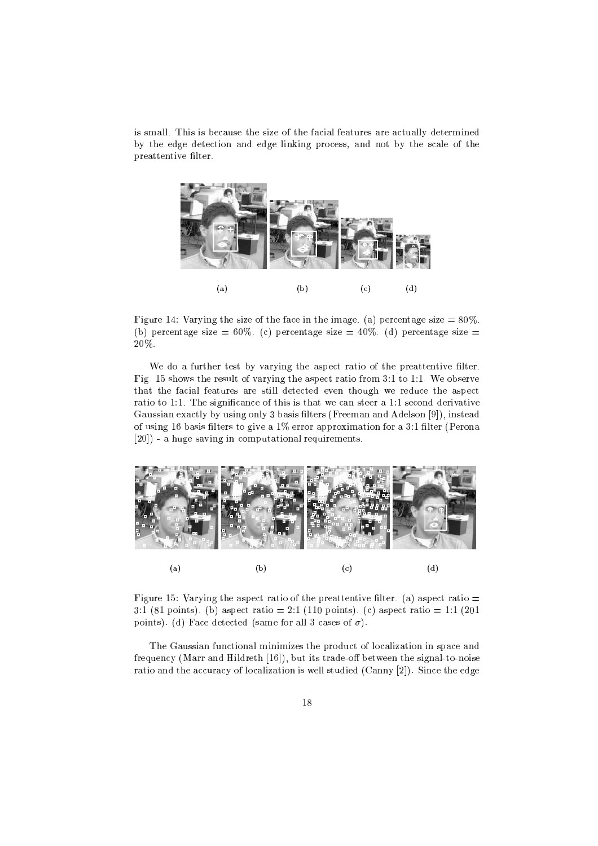is small. This is because the size of the facial features are actually determined by the edge detection and edge linking process, and not by the scale of the preattentive filter.



Figure 14: Varying the size of the face in the image. (a) percentage size  $= 80\%$ . (b) percentage size = 60%. (c) percentage size = 40%. (d) percentage size = 20%.

We do a further test by varying the aspect ratio of the preattentive filter. Fig. 15 shows the result of varying the aspect ratio from 3:1 to 1:1. We observe that the facial features are still detected even though we reduce the aspect ratio to 1:1. The significance of this is that we can steer a 1:1 second derivative Gaussian exactly by using only 3 basis filters (Freeman and Adelson [9]), instead of using 16 basis filters to give a 1% error approximation for a 3:1 filter (Perona [20]) - a huge saving in computational requirements.



Figure 15: Varying the aspect ratio of the preatentive filter. (a) aspect ratio  $=$ 3:1 (81 points). (b) aspect ratio = 2:1 (110 points). (c) aspect ratio = 1:1 (201 points). (d) Face detected (same for all 3 cases of  $\sigma$ ).

The Gaussian functional minimizes the product of localization in space and frequency (Marr and Hildreth [16]), but its trade-off between the signal-to-noise ratio and the accuracy of localization is well studied (Canny [2]). Since the edge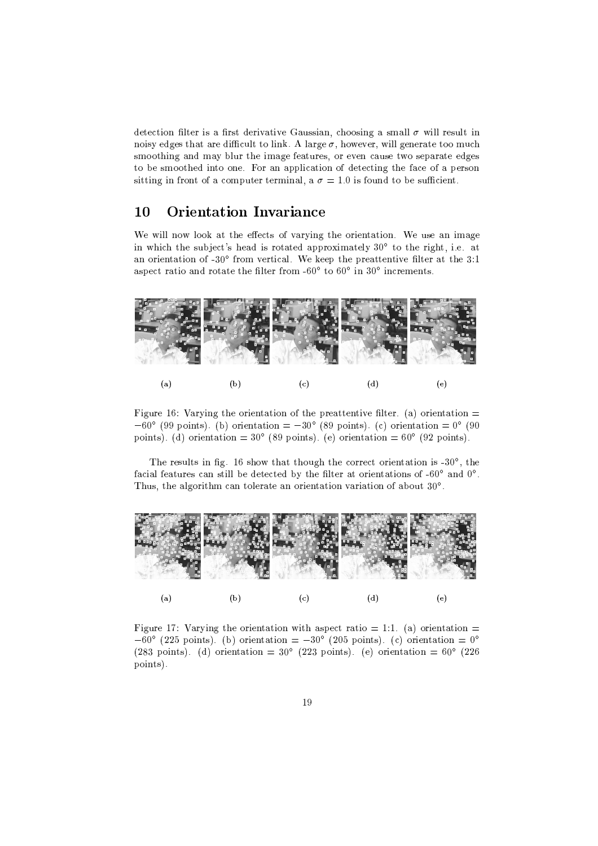detection filter is a first derivative Gaussian, choosing a small  $\sigma$  will result in noisy edges that are difficult to link. A large  $\sigma$ , however, will generate too much smoothing and may blur the image features, or even cause two separate edges to be smoothed into one. For an application of detecting the face of a person sitting in front of a computer terminal, a  $\sigma = 1.0$  is found to be sufficient.

### **Orientation Invariance 10**

We will now look at the effects of varying the orientation. We use an image in which the subject's head is rotated approximately 30° to the right, i.e. at an orientation of -30 $\textdegree$  from vertical. We keep the preattentive filter at the 3:1 aspect ratio and rotate the filter from -60 $^{\circ}$  to 60 $^{\circ}$  in 30 $^{\circ}$  increments.



Figure 16: Varying the orientation of the preattentive filter. (a) orientation  $=$  $-60^{\circ}$  (99 points). (b) orientation =  $-30^{\circ}$  (89 points). (c) orientation =  $0^{\circ}$  (90 points). (d) orientation =  $30^{\circ}$  (89 points). (e) orientation =  $60^{\circ}$  (92 points).

The results in fig. 16 show that though the correct orientation is  $-30^{\circ}$ , the facial features can still be detected by the filter at orientations of -60° and 0°. Thus, the algorithm can tolerate an orientation variation of about 30°.



Figure 17: Varying the orientation with aspect ratio = 1:1. (a) orientation =  $-60^{\circ}$  (225 points). (b) orientation =  $-30^{\circ}$  (205 points). (c) orientation = 0<sup>o</sup> (283 points). (d) orientation = 30° (223 points). (e) orientation = 60° (226 points).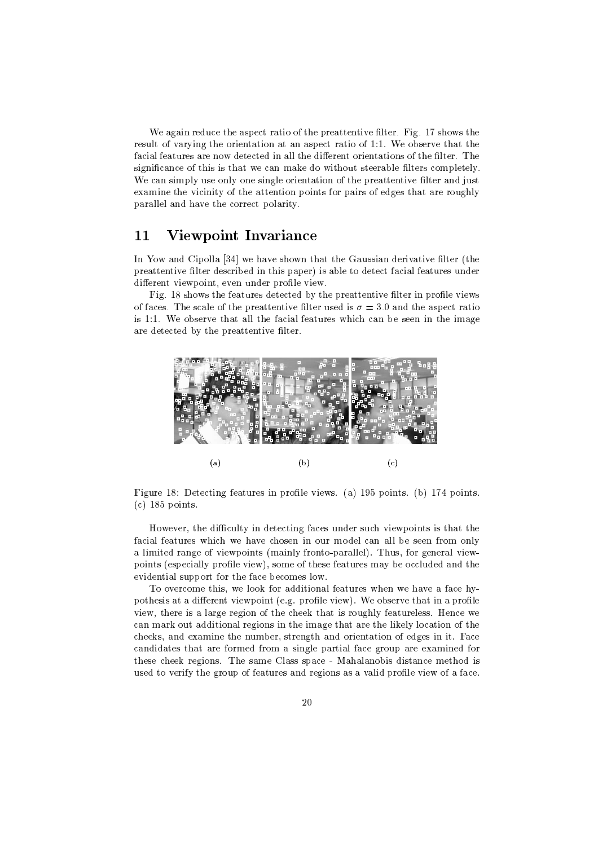We again reduce the aspect ratio of the preattentive filter. Fig. 17 shows the result of varying the orientation at an aspect ratio of 1:1. We observe that the facial features are now detected in all the different orientations of the filter. The significance of this is that we can make do without steerable filters completely. We can simply use only one single orientation of the preattentive filter and just examine the vicinity of the attention points for pairs of edges that are roughly parallel and have the correct polarity.

### 11 **Viewpoint Invariance**

In Yow and Cipolla [34] we have shown that the Gaussian derivative filter (the preattentive filter described in this paper) is able to detect facial features under different viewpoint, even under profile view.

Fig. 18 shows the features detected by the preattentive filter in profile views of faces. The scale of the preattentive filter used is  $\sigma = 3.0$  and the aspect ratio is 1:1. We observe that all the facial features which can be seen in the image are detected by the preattentive filter.



Figure 18: Detecting features in profile views. (a) 195 points. (b) 174 points.  $(c)$  185 points.

However, the difficulty in detecting faces under such viewpoints is that the facial features which we have chosen in our model can all be seen from only a limited range of viewpoints (mainly fronto-parallel). Thus, for general viewpoints (especially profile view), some of these features may be occluded and the evidential support for the face becomes low.

To overcome this, we look for additional features when we have a face hypothesis at a different viewpoint (e.g. profile view). We observe that in a profile view, there is a large region of the cheek that is roughly featureless. Hence we can mark out additional regions in the image that are the likely location of the cheeks, and examine the number, strength and orientation of edges in it. Face candidates that are formed from a single partial face group are examined for these cheek regions. The same Class space - Mahalanobis distance method is used to verify the group of features and regions as a valid profile view of a face.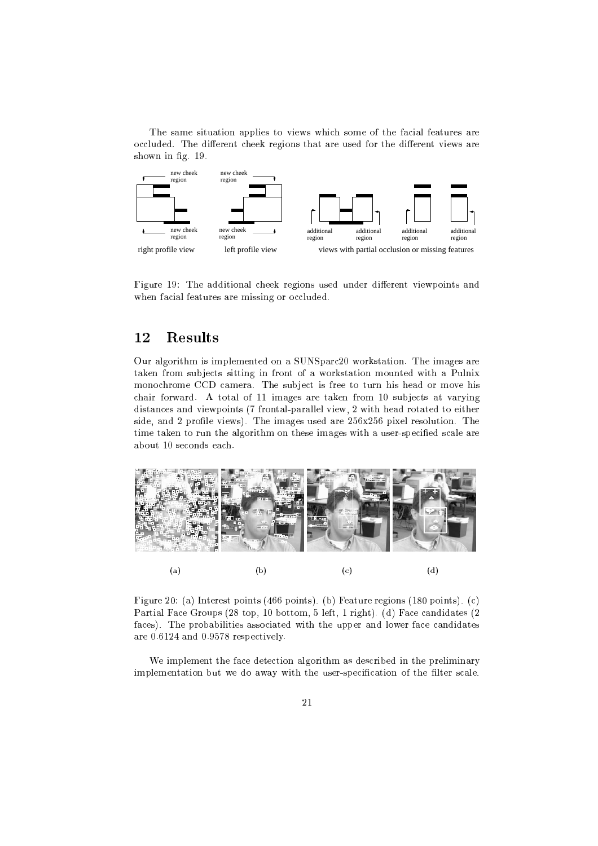The same situation applies to views which some of the facial features are occluded. The different cheek regions that are used for the different views are  $\,$ shown in fig.  $19$ .



Figure 19: The additional cheek regions used under different viewpoints and when facial features are missing or occluded.

## 12 Results

Our algorithm is implemented on a SUNSparc20 workstation. The images are taken from subjects sitting in front of a workstation mounted with a Pulnix monochrome CCD camera. The subject is free to turn his head or move his chair forward. A total of 11 images are taken from 10 subjects at varving distances and viewpoints (7 frontal-parallel view. 2 with head rotated to either side, and 2 profile views). The images used are  $256x256$  pixel resolution. The time taken to run the algorithm on these images with a user-specified scale are about 10 seconds each.



Figure 20: (a) Interest points (466 points). (b) Feature regions (180 points). (c) Partial Face Groups (28 top. 10 bottom. 5 left. 1 right). (d) Face candidates (2 faces). The probabilities associated with the upper and lower face candidates are  $0.6124$  and  $0.9578$  respectively.  $\qquad$ 

We implement the face detection algorithm as described in the preliminary implementation but we do away with the user-specification of the filter scale.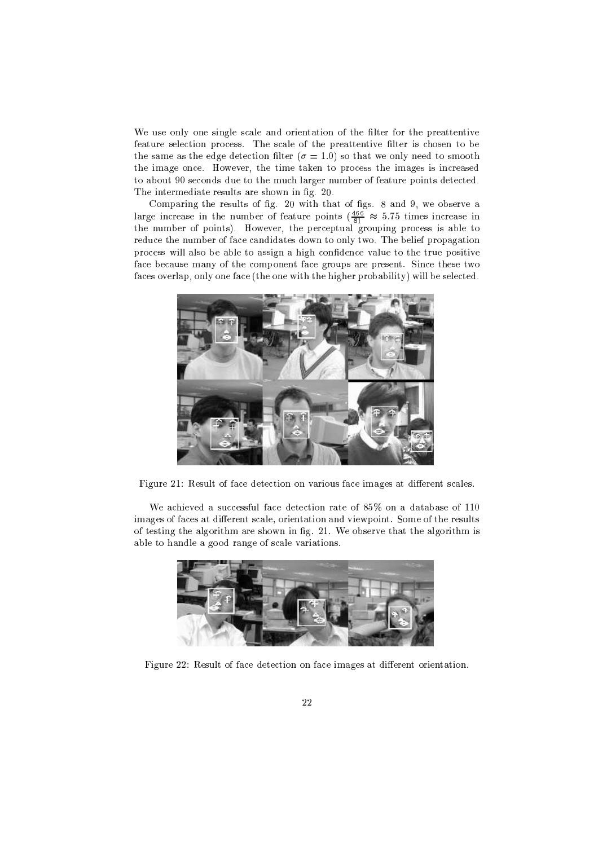We use only one single scale and orientation of the filter for the preattentive feature selection process. The scale of the preattentive filter is chosen to be the same as the edge detection filter ( $\sigma = 1.0$ ) so that we only need to smooth the image once. However, the time taken to process the images is increased to about 90 seconds due to the much larger number of feature points detected. The intermediate results are shown in fig. 20.

Comparing the results of fig. 20 with that of figs. 8 and 9, we observe a large increase in the number of feature points  $\left(\frac{466}{81} \approx 5.75\right)$  times increase in the number of points). However, the perceptual grouping process is able to reduce the number of face candidates down to only two. The belief propagation process will also be able to assign a high confidence value to the true positive face because many of the component face groups are present. Since these two faces overlap, only one face (the one with the higher probability) will be selected.



Figure 21: Result of face detection on various face images at different scales.

We achieved a successful face detection rate of 85% on a database of 110 images of faces at different scale, orientation and viewpoint. Some of the results of testing the algorithm are shown in fig. 21. We observe that the algorithm is able to handle a good range of scale variations.



Figure 22: Result of face detection on face images at different orientation.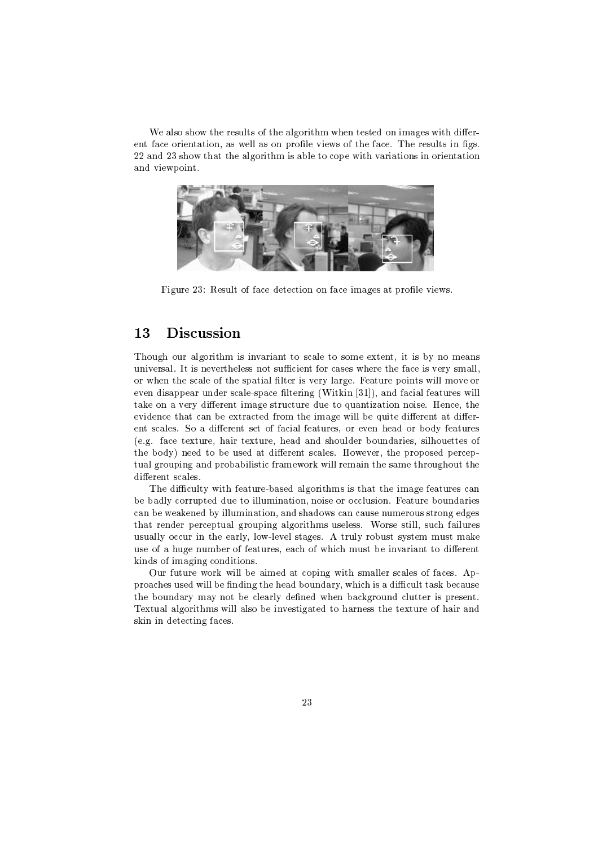We also show the results of the algorithm when tested on images with different face orientation, as well as on profile views of the face. The results in figs. 22 and 23 show that the algorithm is able to cope with variations in orientation and viewpoint.



Figure 23: Result of face detection on face images at profile views.

### Discussion 13

Though our algorithm is invariant to scale to some extent, it is by no means universal. It is nevertheless not sufficient for cases where the face is very small, or when the scale of the spatial filter is very large. Feature points will move or even disappear under scale-space filtering (Witkin [31]), and facial features will take on a very different image structure due to quantization noise. Hence, the evidence that can be extracted from the image will be quite different at different scales. So a different set of facial features, or even head or body features (e.g. face texture, hair texture, head and shoulder boundaries, silhouettes of the body) need to be used at different scales. However, the proposed perceptual grouping and probabilistic framework will remain the same throughout the different scales

The difficulty with feature-based algorithms is that the image features can be badly corrupted due to illumination, noise or occlusion. Feature boundaries can be weakened by illumination, and shadows can cause numerous strong edges that render perceptual grouping algorithms useless. Worse still, such failures usually occur in the early, low-level stages. A truly robust system must make use of a huge number of features, each of which must be invariant to different kinds of imaging conditions.

Our future work will be aimed at coping with smaller scales of faces. Approaches used will be finding the head boundary, which is a difficult task because the boundary may not be clearly defined when background clutter is present. Textual algorithms will also be investigated to harness the texture of hair and skin in detecting faces.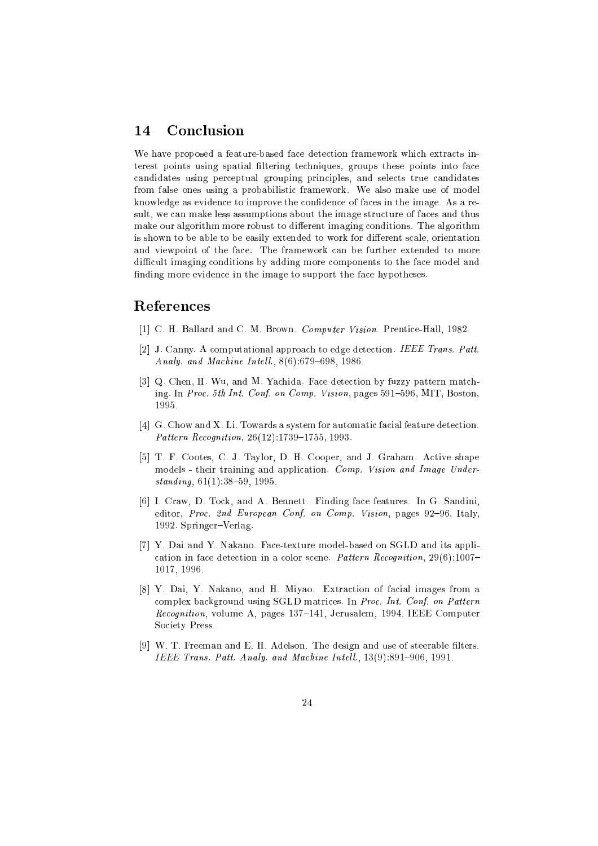### Conclusion 14

We have proposed a feature-based face detection framework which extracts interest points using spatial filtering techniques, groups these points into face candidates using perceptual grouping principles, and selects true candidates from false ones using a probabilistic framework. We also make use of model knowledge as evidence to improve the confidence of faces in the image. As a result, we can make less assumptions about the image structure of faces and thus make our algorithm more robust to different imaging conditions. The algorithm is shown to be able to be easily extended to work for different scale, orientation and viewpoint of the face. The framework can be further extended to more difficult imaging conditions by adding more components to the face model and finding more evidence in the image to support the face hypotheses.

## References

- [1] C. H. Ballard and C. M. Brown. Computer Vision. Prentice-Hall, 1982.
- [2] J. Canny. A computational approach to edge detection. IEEE Trans. Patt. Analy. and Machine Intell., 8(6):679-698, 1986.
- [3] Q. Chen, H. Wu, and M. Yachida. Face detection by fuzzy pattern matching. In Proc. 5th Int. Conf. on Comp. Vision, pages 591-596, MIT, Boston, 1995.
- [4] G. Chow and X. Li. Towards a system for automatic facial feature detection. Pattern Recognition, 26(12):1739-1755, 1993.
- [5] T. F. Cootes, C. J. Taylor, D. H. Cooper, and J. Graham. Active shape models - their training and application. Comp. Vision and Image Under $standing, 61(1):38-59, 1995.$
- [6] I. Craw, D. Tock, and A. Bennett. Finding face features. In G. Sandini, editor, Proc. 2nd European Conf. on Comp. Vision, pages 92-96, Italy, 1992. Springer-Verlag.
- [7] Y. Dai and Y. Nakano. Face-texture model-based on SGLD and its application in face detection in a color scene. Pattern Recognition, 29(6):1007-1017.1996.
- [8] Y. Dai, Y. Nakano, and H. Miyao. Extraction of facial images from a complex background using SGLD matrices. In Proc. Int. Conf. on Pattern Recognition, volume A, pages 137-141, Jerusalem, 1994. IEEE Computer Society Press.
- [9] W. T. Freeman and E. H. Adelson. The design and use of steerable filters. IEEE Trans. Patt. Analy. and Machine Intell., 13(9):891-906, 1991.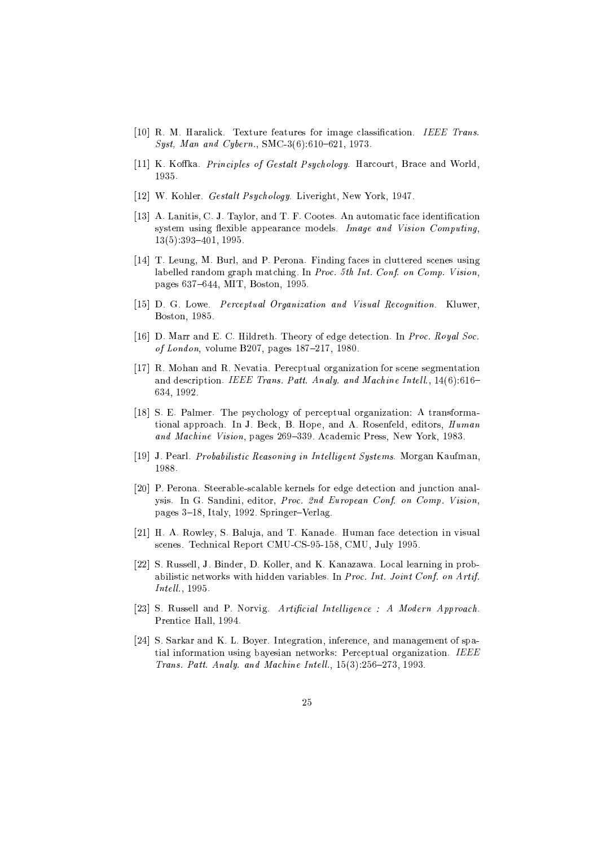- [10] R. M. Haralick. Texture features for image classification. IEEE Trans. Syst, Man and Cybern., SMC-3(6):610-621, 1973.
- [11] K. Koffka. Principles of Gestalt Psychology. Harcourt, Brace and World, 1035
- [12] W. Kohler. Gestalt Psychology. Liveright, New York, 1947.
- [13] A. Lanitis, C. J. Taylor, and T. F. Cootes. An automatic face identification system using flexible appearance models. Image and Vision Computing,  $13(5):393-401,1995.$
- [14] T. Leung, M. Burl, and P. Perona. Finding faces in cluttered scenes using labelled random graph matching. In Proc. 5th Int. Conf. on Comp. Vision, pages 637-644, MIT, Boston, 1995.
- [15] D. G. Lowe. Perceptual Organization and Visual Recognition. Kluwer, Boston, 1985.
- [16] D. Marr and E. C. Hildreth. Theory of edge detection. In Proc. Royal Soc. of London, volume B207, pages  $187-217$ , 1980.
- [17] R. Mohan and R. Nevatia. Perecptual organization for scene segmentation and description. IEEE Trans. Patt. Analy, and Machine Intell., 14(6):616-634, 1992.
- [18] S. E. Palmer. The psychology of perceptual organization: A transformational approach. In J. Beck, B. Hope, and A. Rosenfeld, editors, Human and Machine Vision, pages 269-339. Academic Press, New York, 1983.
- [19] J. Pearl. *Probabilistic Reasoning in Intelligent Systems*. Morgan Kaufman, 1988.
- [20] P. Perona. Steerable-scalable kernels for edge detection and junction analysis. In G. Sandini, editor, Proc. 2nd European Conf. on Comp. Vision, pages 3-18, Italy, 1992. Springer-Verlag.
- [21] H. A. Rowley, S. Baluja, and T. Kanade. Human face detection in visual scenes. Technical Report CMU-CS-95-158, CMU, July 1995.
- [22] S. Russell, J. Binder, D. Koller, and K. Kanazawa. Local learning in probabilistic networks with hidden variables. In Proc. Int. Joint Conf. on Artif. Intell., 1995.
- [23] S. Russell and P. Norvig. Artificial Intelligence: A Modern Approach. Prentice Hall, 1994.
- [24] S. Sarkar and K. L. Boyer. Integration, inference, and management of spatial information using bayesian networks: Perceptual organization. IEEE *Trans. Patt. Analy. and Machine Intell.*,  $15(3):256-273$ ,  $1993$ .